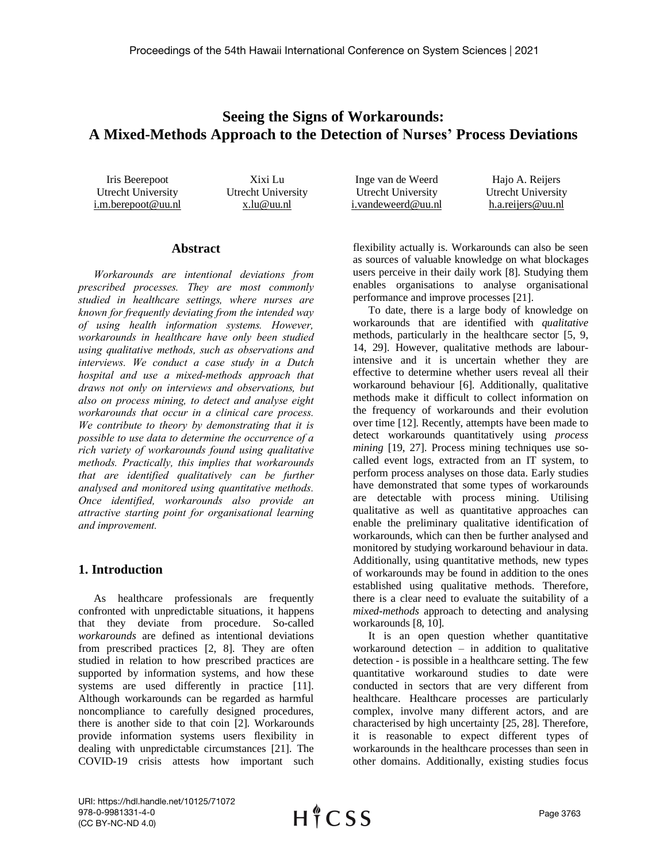# **Seeing the Signs of Workarounds: A Mixed-Methods Approach to the Detection of Nurses' Process Deviations**

Iris Beerepoot Utrecht University i.m.berepoot@uu.nl Xixi Lu Utrecht University x.lu@uu.nl Inge van de Weerd Utrecht University i.vandeweerd@uu.nl Hajo A. Reijers Utrecht University h.a.reijers@uu.nl

### **Abstract**

*Workarounds are intentional deviations from prescribed processes. They are most commonly studied in healthcare settings, where nurses are known for frequently deviating from the intended way of using health information systems. However, workarounds in healthcare have only been studied using qualitative methods, such as observations and interviews. We conduct a case study in a Dutch hospital and use a mixed-methods approach that draws not only on interviews and observations, but also on process mining, to detect and analyse eight workarounds that occur in a clinical care process. We contribute to theory by demonstrating that it is possible to use data to determine the occurrence of a rich variety of workarounds found using qualitative methods. Practically, this implies that workarounds that are identified qualitatively can be further analysed and monitored using quantitative methods. Once identified, workarounds also provide an attractive starting point for organisational learning and improvement.*

# **1. Introduction**

As healthcare professionals are frequently confronted with unpredictable situations, it happens that they deviate from procedure. So-called *workarounds* are defined as intentional deviations from prescribed practices [2, 8]. They are often studied in relation to how prescribed practices are supported by information systems, and how these systems are used differently in practice [11]. Although workarounds can be regarded as harmful noncompliance to carefully designed procedures, there is another side to that coin [2]. Workarounds provide information systems users flexibility in dealing with unpredictable circumstances [21]. The COVID-19 crisis attests how important such

flexibility actually is. Workarounds can also be seen as sources of valuable knowledge on what blockages users perceive in their daily work [8]. Studying them enables organisations to analyse organisational performance and improve processes [21].

To date, there is a large body of knowledge on workarounds that are identified with *qualitative* methods, particularly in the healthcare sector [5, 9, 14, 29]. However, qualitative methods are labourintensive and it is uncertain whether they are effective to determine whether users reveal all their workaround behaviour [6]. Additionally, qualitative methods make it difficult to collect information on the frequency of workarounds and their evolution over time [12]. Recently, attempts have been made to detect workarounds quantitatively using *process mining* [19, 27]. Process mining techniques use socalled event logs, extracted from an IT system, to perform process analyses on those data. Early studies have demonstrated that some types of workarounds are detectable with process mining. Utilising qualitative as well as quantitative approaches can enable the preliminary qualitative identification of workarounds, which can then be further analysed and monitored by studying workaround behaviour in data. Additionally, using quantitative methods, new types of workarounds may be found in addition to the ones established using qualitative methods. Therefore, there is a clear need to evaluate the suitability of a *mixed-methods* approach to detecting and analysing workarounds [8, 10].

It is an open question whether quantitative workaround detection  $-$  in addition to qualitative detection - is possible in a healthcare setting. The few quantitative workaround studies to date were conducted in sectors that are very different from healthcare. Healthcare processes are particularly complex, involve many different actors, and are characterised by high uncertainty [25, 28]. Therefore, it is reasonable to expect different types of workarounds in the healthcare processes than seen in other domains. Additionally, existing studies focus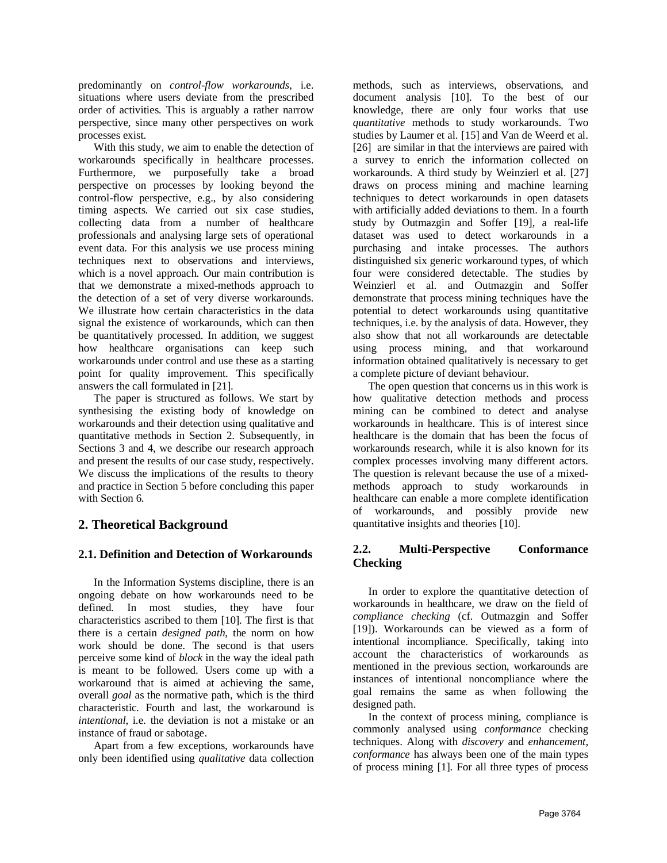predominantly on *control-flow workarounds*, i.e. situations where users deviate from the prescribed order of activities. This is arguably a rather narrow perspective, since many other perspectives on work processes exist.

With this study, we aim to enable the detection of workarounds specifically in healthcare processes. Furthermore, we purposefully take a broad perspective on processes by looking beyond the control-flow perspective, e.g., by also considering timing aspects. We carried out six case studies, collecting data from a number of healthcare professionals and analysing large sets of operational event data. For this analysis we use process mining techniques next to observations and interviews, which is a novel approach. Our main contribution is that we demonstrate a mixed-methods approach to the detection of a set of very diverse workarounds. We illustrate how certain characteristics in the data signal the existence of workarounds, which can then be quantitatively processed. In addition, we suggest how healthcare organisations can keep such workarounds under control and use these as a starting point for quality improvement. This specifically answers the call formulated in [21].

The paper is structured as follows. We start by synthesising the existing body of knowledge on workarounds and their detection using qualitative and quantitative methods in Section 2. Subsequently, in Sections 3 and 4, we describe our research approach and present the results of our case study, respectively. We discuss the implications of the results to theory and practice in Section 5 before concluding this paper with Section 6.

# **2. Theoretical Background**

# **2.1. Definition and Detection of Workarounds**

In the Information Systems discipline, there is an ongoing debate on how workarounds need to be defined. In most studies, they have four characteristics ascribed to them [10]. The first is that there is a certain *designed path*, the norm on how work should be done. The second is that users perceive some kind of *block* in the way the ideal path is meant to be followed. Users come up with a workaround that is aimed at achieving the same, overall *goal* as the normative path, which is the third characteristic. Fourth and last, the workaround is *intentional*, i.e. the deviation is not a mistake or an instance of fraud or sabotage.

Apart from a few exceptions, workarounds have only been identified using *qualitative* data collection methods, such as interviews, observations, and document analysis [10]. To the best of our knowledge, there are only four works that use *quantitative* methods to study workarounds. Two studies by Laumer et al. [15] and Van de Weerd et al. [26] are similar in that the interviews are paired with a survey to enrich the information collected on workarounds. A third study by Weinzierl et al. [27] draws on process mining and machine learning techniques to detect workarounds in open datasets with artificially added deviations to them. In a fourth study by Outmazgin and Soffer [19], a real-life dataset was used to detect workarounds in a purchasing and intake processes. The authors distinguished six generic workaround types, of which four were considered detectable. The studies by Weinzierl et al. and Outmazgin and Soffer demonstrate that process mining techniques have the potential to detect workarounds using quantitative techniques, i.e. by the analysis of data. However, they also show that not all workarounds are detectable using process mining, and that workaround information obtained qualitatively is necessary to get a complete picture of deviant behaviour.

The open question that concerns us in this work is how qualitative detection methods and process mining can be combined to detect and analyse workarounds in healthcare. This is of interest since healthcare is the domain that has been the focus of workarounds research, while it is also known for its complex processes involving many different actors. The question is relevant because the use of a mixedmethods approach to study workarounds in healthcare can enable a more complete identification of workarounds, and possibly provide new quantitative insights and theories [10].

# **2.2. Multi-Perspective Conformance Checking**

In order to explore the quantitative detection of workarounds in healthcare, we draw on the field of *compliance checking* (cf. Outmazgin and Soffer [19]). Workarounds can be viewed as a form of intentional incompliance. Specifically, taking into account the characteristics of workarounds as mentioned in the previous section, workarounds are instances of intentional noncompliance where the goal remains the same as when following the designed path.

In the context of process mining, compliance is commonly analysed using *conformance* checking techniques. Along with *discovery* and *enhancement*, *conformance* has always been one of the main types of process mining [1]. For all three types of process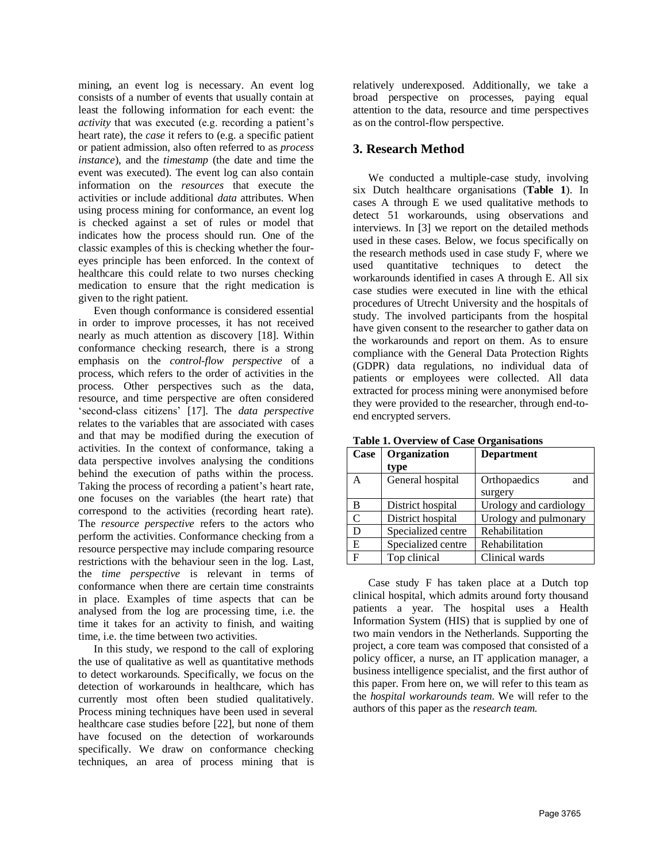mining, an event log is necessary. An event log consists of a number of events that usually contain at least the following information for each event: the *activity* that was executed (e.g. recording a patient's heart rate), the *case* it refers to (e.g. a specific patient or patient admission, also often referred to as *process instance*), and the *timestamp* (the date and time the event was executed). The event log can also contain information on the *resources* that execute the activities or include additional *data* attributes. When using process mining for conformance, an event log is checked against a set of rules or model that indicates how the process should run. One of the classic examples of this is checking whether the foureyes principle has been enforced. In the context of healthcare this could relate to two nurses checking medication to ensure that the right medication is given to the right patient.

Even though conformance is considered essential in order to improve processes, it has not received nearly as much attention as discovery [18]. Within conformance checking research, there is a strong emphasis on the *control-flow perspective* of a process, which refers to the order of activities in the process. Other perspectives such as the data, resource, and time perspective are often considered 'second-class citizens' [17]. The *data perspective* relates to the variables that are associated with cases and that may be modified during the execution of activities. In the context of conformance, taking a data perspective involves analysing the conditions behind the execution of paths within the process. Taking the process of recording a patient's heart rate, one focuses on the variables (the heart rate) that correspond to the activities (recording heart rate). The *resource perspective* refers to the actors who perform the activities. Conformance checking from a resource perspective may include comparing resource restrictions with the behaviour seen in the log. Last, the *time perspective* is relevant in terms of conformance when there are certain time constraints in place. Examples of time aspects that can be analysed from the log are processing time, i.e. the time it takes for an activity to finish, and waiting time, i.e. the time between two activities.

In this study, we respond to the call of exploring the use of qualitative as well as quantitative methods to detect workarounds. Specifically, we focus on the detection of workarounds in healthcare, which has currently most often been studied qualitatively. Process mining techniques have been used in several healthcare case studies before [22], but none of them have focused on the detection of workarounds specifically. We draw on conformance checking techniques, an area of process mining that is

relatively underexposed. Additionally, we take a broad perspective on processes, paying equal attention to the data, resource and time perspectives as on the control-flow perspective.

# **3. Research Method**

We conducted a multiple-case study, involving six Dutch healthcare organisations (**Table 1**). In cases A through E we used qualitative methods to detect 51 workarounds, using observations and interviews. In [3] we report on the detailed methods used in these cases. Below, we focus specifically on the research methods used in case study F, where we used quantitative techniques to detect the workarounds identified in cases A through E. All six case studies were executed in line with the ethical procedures of Utrecht University and the hospitals of study. The involved participants from the hospital have given consent to the researcher to gather data on the workarounds and report on them. As to ensure compliance with the General Data Protection Rights (GDPR) data regulations, no individual data of patients or employees were collected. All data extracted for process mining were anonymised before they were provided to the researcher, through end-toend encrypted servers.

| Case           | Organization       | <b>Department</b>      |  |
|----------------|--------------------|------------------------|--|
|                | type               |                        |  |
| А              | General hospital   | Orthopaedics<br>and    |  |
|                |                    | surgery                |  |
| В              | District hospital  | Urology and cardiology |  |
| $\overline{C}$ | District hospital  | Urology and pulmonary  |  |
| D              | Specialized centre | Rehabilitation         |  |
| E              | Specialized centre | Rehabilitation         |  |
| $\mathbf{F}$   | Top clinical       | Clinical wards         |  |

**Table 1. Overview of Case Organisations**

Case study F has taken place at a Dutch top clinical hospital, which admits around forty thousand patients a year. The hospital uses a Health Information System (HIS) that is supplied by one of two main vendors in the Netherlands. Supporting the project, a core team was composed that consisted of a policy officer, a nurse, an IT application manager, a business intelligence specialist, and the first author of this paper. From here on, we will refer to this team as the *hospital workarounds team*. We will refer to the authors of this paper as the *research team.*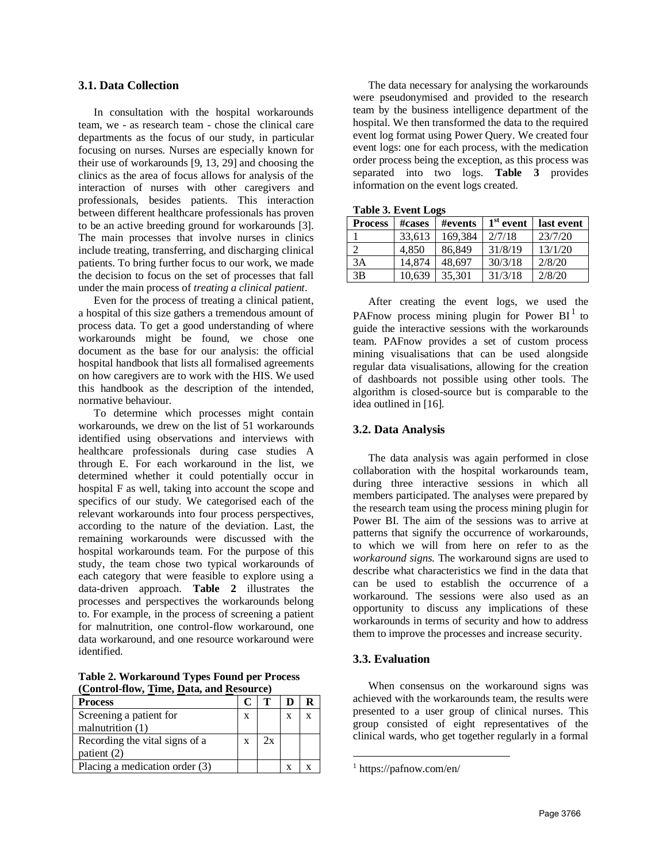#### **3.1. Data Collection**

In consultation with the hospital workarounds team, we - as research team - chose the clinical care departments as the focus of our study, in particular focusing on nurses. Nurses are especially known for their use of workarounds [9, 13, 29] and choosing the clinics as the area of focus allows for analysis of the interaction of nurses with other caregivers and professionals, besides patients. This interaction between different healthcare professionals has proven to be an active breeding ground for workarounds [3]. The main processes that involve nurses in clinics include treating, transferring, and discharging clinical patients. To bring further focus to our work, we made the decision to focus on the set of processes that fall under the main process of *treating a clinical patient*.

Even for the process of treating a clinical patient, a hospital of this size gathers a tremendous amount of process data. To get a good understanding of where workarounds might be found, we chose one document as the base for our analysis: the official hospital handbook that lists all formalised agreements on how caregivers are to work with the HIS. We used this handbook as the description of the intended, normative behaviour.

To determine which processes might contain workarounds, we drew on the list of 51 workarounds identified using observations and interviews with healthcare professionals during case studies A through E. For each workaround in the list, we determined whether it could potentially occur in hospital F as well, taking into account the scope and specifics of our study. We categorised each of the relevant workarounds into four process perspectives, according to the nature of the deviation. Last, the remaining workarounds were discussed with the hospital workarounds team. For the purpose of this study, the team chose two typical workarounds of each category that were feasible to explore using a data-driven approach. **Table 2** illustrates the processes and perspectives the workarounds belong to. For example, in the process of screening a patient for malnutrition, one control-flow workaround, one data workaround, and one resource workaround were identified.

**Table 2. Workaround Types Found per Process (Control-flow, Time, Data, and Resource)**

| Process                        |   |    |   |  |
|--------------------------------|---|----|---|--|
| Screening a patient for        | X |    | X |  |
| malnutrition $(1)$             |   |    |   |  |
| Recording the vital signs of a | X | 2x |   |  |
| patient $(2)$                  |   |    |   |  |
| Placing a medication order (3) |   |    |   |  |

The data necessary for analysing the workarounds were pseudonymised and provided to the research team by the business intelligence department of the hospital. We then transformed the data to the required event log format using Power Query. We created four event logs: one for each process, with the medication order process being the exception, as this process was separated into two logs. **Table 3** provides information on the event logs created.

| <b>Table 3. Event Logs</b> |  |
|----------------------------|--|
|----------------------------|--|

| <b>Process</b> | #cases | #events | $1st$ event | last event |
|----------------|--------|---------|-------------|------------|
|                | 33.613 | 169,384 | 2/7/18      | 23/7/20    |
|                | 4,850  | 86,849  | 31/8/19     | 13/1/20    |
| 3A             | 14,874 | 48,697  | 30/3/18     | 2/8/20     |
| 3B             | 10.639 | 35,301  | 31/3/18     | 2/8/20     |

After creating the event logs, we used the PAFnow process mining plugin for Power  $BI<sup>1</sup>$  to guide the interactive sessions with the workarounds team. PAFnow provides a set of custom process mining visualisations that can be used alongside regular data visualisations, allowing for the creation of dashboards not possible using other tools. The algorithm is closed-source but is comparable to the idea outlined in [16].

### **3.2. Data Analysis**

The data analysis was again performed in close collaboration with the hospital workarounds team, during three interactive sessions in which all members participated. The analyses were prepared by the research team using the process mining plugin for Power BI. The aim of the sessions was to arrive at patterns that signify the occurrence of workarounds, to which we will from here on refer to as the *workaround signs*. The workaround signs are used to describe what characteristics we find in the data that can be used to establish the occurrence of a workaround. The sessions were also used as an opportunity to discuss any implications of these workarounds in terms of security and how to address them to improve the processes and increase security.

### **3.3. Evaluation**

When consensus on the workaround signs was achieved with the workarounds team, the results were presented to a user group of clinical nurses. This group consisted of eight representatives of the clinical wards, who get together regularly in a formal

<sup>1</sup> https://pafnow.com/en/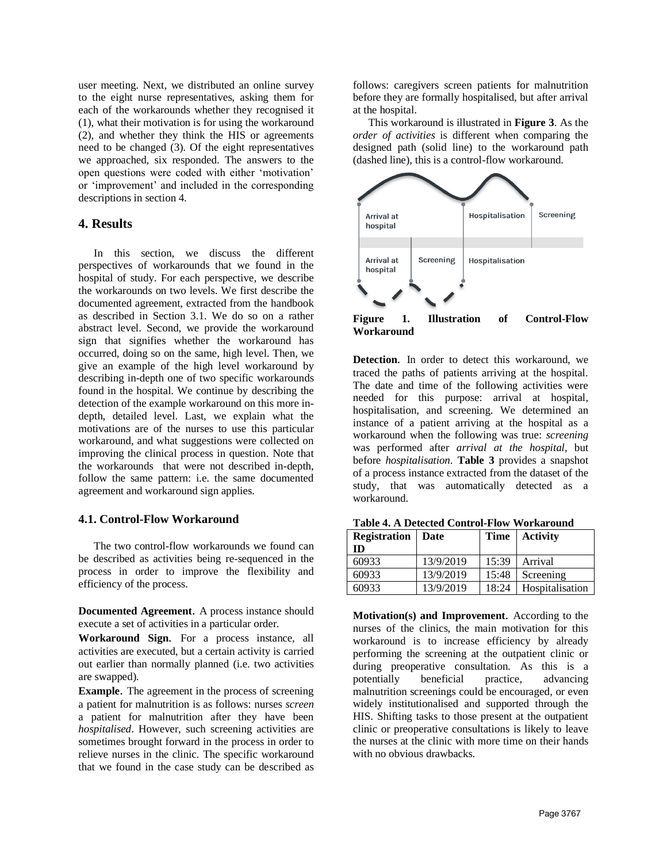user meeting. Next, we distributed an online survey to the eight nurse representatives, asking them for each of the workarounds whether they recognised it (1), what their motivation is for using the workaround (2), and whether they think the HIS or agreements need to be changed (3). Of the eight representatives we approached, six responded. The answers to the open questions were coded with either 'motivation' or 'improvement' and included in the corresponding descriptions in section 4.

### **4. Results**

In this section, we discuss the different perspectives of workarounds that we found in the hospital of study. For each perspective, we describe the workarounds on two levels. We first describe the documented agreement, extracted from the handbook as described in Section 3.1. We do so on a rather abstract level. Second, we provide the workaround sign that signifies whether the workaround has occurred, doing so on the same, high level. Then, we give an example of the high level workaround by describing in-depth one of two specific workarounds found in the hospital. We continue by describing the detection of the example workaround on this more indepth, detailed level. Last, we explain what the motivations are of the nurses to use this particular workaround, and what suggestions were collected on improving the clinical process in question. Note that the workarounds that were not described in-depth, follow the same pattern: i.e. the same documented agreement and workaround sign applies.

### **4.1. Control-Flow Workaround**

The two control-flow workarounds we found can be described as activities being re-sequenced in the process in order to improve the flexibility and efficiency of the process.

**Documented Agreement**. A process instance should execute a set of activities in a particular order.

**Workaround Sign**. For a process instance, all activities are executed, but a certain activity is carried out earlier than normally planned (i.e. two activities are swapped).

**Example**. The agreement in the process of screening a patient for malnutrition is as follows: nurses *screen* a patient for malnutrition after they have been *hospitalised*. However, such screening activities are sometimes brought forward in the process in order to relieve nurses in the clinic. The specific workaround that we found in the case study can be described as

follows: caregivers screen patients for malnutrition before they are formally hospitalised, but after arrival at the hospital.

This workaround is illustrated in **Figure 3**. As the *order of activities* is different when comparing the designed path (solid line) to the workaround path (dashed line), this is a control-flow workaround.



**Figure 1. Illustration of Control-Flow Workaround**

**Detection**. In order to detect this workaround, we traced the paths of patients arriving at the hospital. The date and time of the following activities were needed for this purpose: arrival at hospital, hospitalisation, and screening. We determined an instance of a patient arriving at the hospital as a workaround when the following was true: *screening* was performed after *arrival at the hospital*, but before *hospitalisation*. **Table 3** provides a snapshot of a process instance extracted from the dataset of the study, that was automatically detected as a workaround.

| <b>Registration</b>   Date |           | <b>Time</b> | <b>Activity</b> |  |
|----------------------------|-----------|-------------|-----------------|--|
| ID                         |           |             |                 |  |
| 60933                      | 13/9/2019 | 15:39       | Arrival         |  |
| 60933                      | 13/9/2019 | 15:48       | Screening       |  |
| 60933                      | 13/9/2019 | 18:24       | Hospitalisation |  |

**Table 4. A Detected Control-Flow Workaround** 

**Motivation(s) and Improvement**. According to the nurses of the clinics, the main motivation for this workaround is to increase efficiency by already performing the screening at the outpatient clinic or during preoperative consultation. As this is a potentially beneficial practice, advancing malnutrition screenings could be encouraged, or even widely institutionalised and supported through the HIS. Shifting tasks to those present at the outpatient clinic or preoperative consultations is likely to leave the nurses at the clinic with more time on their hands with no obvious drawbacks.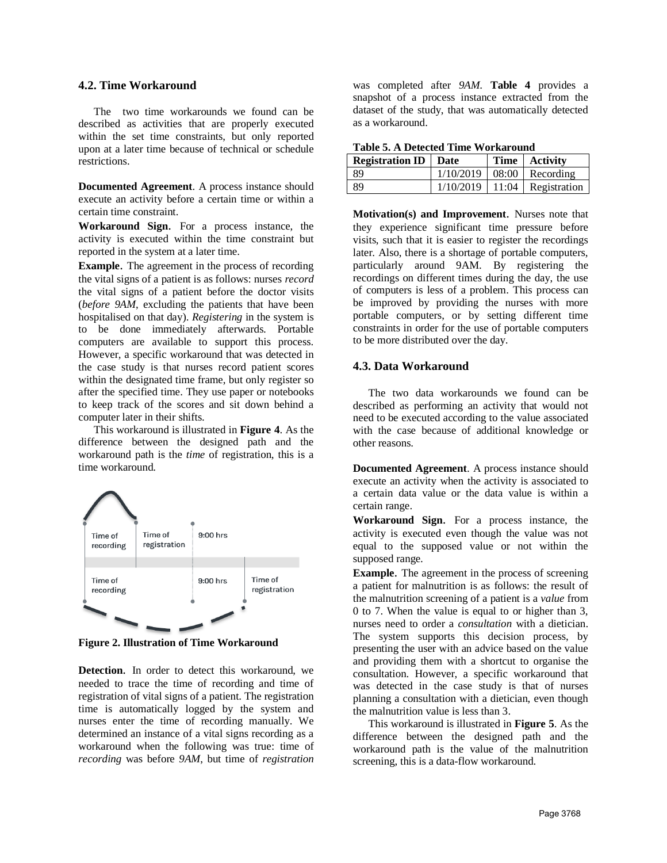#### **4.2. Time Workaround**

The two time workarounds we found can be described as activities that are properly executed within the set time constraints, but only reported upon at a later time because of technical or schedule restrictions.

**Documented Agreement**. A process instance should execute an activity before a certain time or within a certain time constraint.

**Workaround Sign**. For a process instance, the activity is executed within the time constraint but reported in the system at a later time.

**Example**. The agreement in the process of recording the vital signs of a patient is as follows: nurses *record* the vital signs of a patient before the doctor visits (*before 9AM*, excluding the patients that have been hospitalised on that day). *Registering* in the system is to be done immediately afterwards. Portable computers are available to support this process. However, a specific workaround that was detected in the case study is that nurses record patient scores within the designated time frame, but only register so after the specified time. They use paper or notebooks to keep track of the scores and sit down behind a computer later in their shifts.

This workaround is illustrated in **Figure 4**. As the difference between the designed path and the workaround path is the *time* of registration, this is a time workaround.



**Figure 2. Illustration of Time Workaround**

**Detection**. In order to detect this workaround, we needed to trace the time of recording and time of registration of vital signs of a patient. The registration time is automatically logged by the system and nurses enter the time of recording manually. We determined an instance of a vital signs recording as a workaround when the following was true: time of *recording* was before *9AM*, but time of *registration*

was completed after *9AM*. **Table 4** provides a snapshot of a process instance extracted from the dataset of the study, that was automatically detected as a workaround.

**Table 5. A Detected Time Workaround** 

| <b>Registration ID</b>   Date |  | Time   Activity                    |
|-------------------------------|--|------------------------------------|
| l 89                          |  | $1/10/2019$   08:00   Recording    |
| l 89                          |  | $1/10/2019$   11:04   Registration |

**Motivation(s) and Improvement**. Nurses note that they experience significant time pressure before visits, such that it is easier to register the recordings later. Also, there is a shortage of portable computers, particularly around 9AM. By registering the recordings on different times during the day, the use of computers is less of a problem. This process can be improved by providing the nurses with more portable computers, or by setting different time constraints in order for the use of portable computers to be more distributed over the day.

### **4.3. Data Workaround**

The two data workarounds we found can be described as performing an activity that would not need to be executed according to the value associated with the case because of additional knowledge or other reasons.

**Documented Agreement**. A process instance should execute an activity when the activity is associated to a certain data value or the data value is within a certain range.

**Workaround Sign**. For a process instance, the activity is executed even though the value was not equal to the supposed value or not within the supposed range.

**Example**. The agreement in the process of screening a patient for malnutrition is as follows: the result of the malnutrition screening of a patient is a *value* from 0 to 7. When the value is equal to or higher than 3, nurses need to order a *consultation* with a dietician. The system supports this decision process, by presenting the user with an advice based on the value and providing them with a shortcut to organise the consultation. However, a specific workaround that was detected in the case study is that of nurses planning a consultation with a dietician, even though the malnutrition value is less than 3.

This workaround is illustrated in **Figure 5**. As the difference between the designed path and the workaround path is the value of the malnutrition screening, this is a data-flow workaround.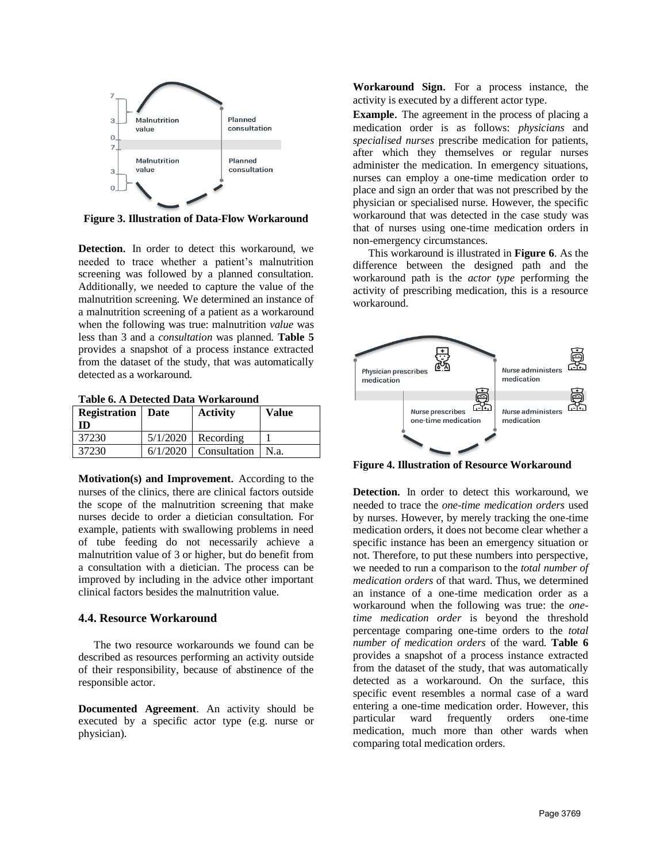

**Figure 3. Illustration of Data-Flow Workaround**

**Detection**. In order to detect this workaround, we needed to trace whether a patient's malnutrition screening was followed by a planned consultation. Additionally, we needed to capture the value of the malnutrition screening. We determined an instance of a malnutrition screening of a patient as a workaround when the following was true: malnutrition *value* was less than 3 and a *consultation* was planned. **Table 5** provides a snapshot of a process instance extracted from the dataset of the study, that was automatically detected as a workaround.

**Table 6. A Detected Data Workaround** 

| <b>Registration</b>   Date<br><b>ID</b> | <b>Activity</b>         | <b>Value</b> |
|-----------------------------------------|-------------------------|--------------|
| 37230                                   | $5/1/2020$ Recording    |              |
| 37230                                   | $6/1/2020$ Consultation | 1 N.a.       |

**Motivation(s) and Improvement**. According to the nurses of the clinics, there are clinical factors outside the scope of the malnutrition screening that make nurses decide to order a dietician consultation. For example, patients with swallowing problems in need of tube feeding do not necessarily achieve a malnutrition value of 3 or higher, but do benefit from a consultation with a dietician. The process can be improved by including in the advice other important clinical factors besides the malnutrition value.

#### **4.4. Resource Workaround**

The two resource workarounds we found can be described as resources performing an activity outside of their responsibility, because of abstinence of the responsible actor.

**Documented Agreement**. An activity should be executed by a specific actor type (e.g. nurse or physician).

**Workaround Sign**. For a process instance, the activity is executed by a different actor type.

**Example**. The agreement in the process of placing a medication order is as follows: *physicians* and *specialised nurses* prescribe medication for patients, after which they themselves or regular nurses administer the medication. In emergency situations, nurses can employ a one-time medication order to place and sign an order that was not prescribed by the physician or specialised nurse. However, the specific workaround that was detected in the case study was that of nurses using one-time medication orders in non-emergency circumstances.

This workaround is illustrated in **Figure 6**. As the difference between the designed path and the workaround path is the *actor type* performing the activity of prescribing medication, this is a resource workaround.



**Figure 4. Illustration of Resource Workaround**

**Detection**. In order to detect this workaround, we needed to trace the *one-time medication orders* used by nurses. However, by merely tracking the one-time medication orders, it does not become clear whether a specific instance has been an emergency situation or not. Therefore, to put these numbers into perspective, we needed to run a comparison to the *total number of medication orders* of that ward. Thus, we determined an instance of a one-time medication order as a workaround when the following was true: the *onetime medication order* is beyond the threshold percentage comparing one-time orders to the *total number of medication orders* of the ward. **Table 6** provides a snapshot of a process instance extracted from the dataset of the study, that was automatically detected as a workaround. On the surface, this specific event resembles a normal case of a ward entering a one-time medication order. However, this particular ward frequently orders one-time medication, much more than other wards when comparing total medication orders.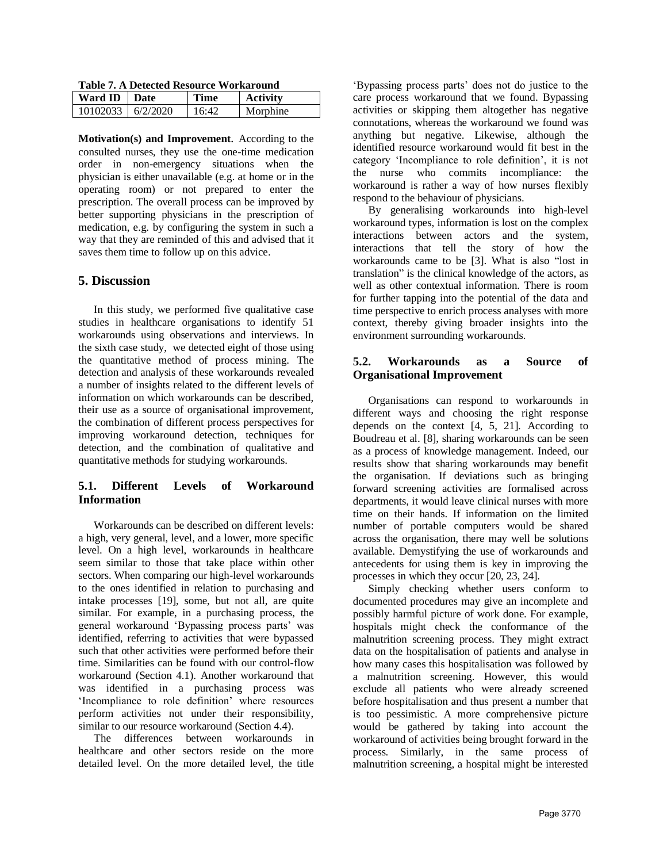**Table 7. A Detected Resource Workaround** 

| Ward ID   Date           | Time  | <b>Activity</b> |
|--------------------------|-------|-----------------|
| $10102033 \mid 6/2/2020$ | 16.42 | Morphine        |

**Motivation(s) and Improvement**. According to the consulted nurses, they use the one-time medication order in non-emergency situations when the physician is either unavailable (e.g. at home or in the operating room) or not prepared to enter the prescription. The overall process can be improved by better supporting physicians in the prescription of medication, e.g. by configuring the system in such a way that they are reminded of this and advised that it saves them time to follow up on this advice.

### **5. Discussion**

In this study, we performed five qualitative case studies in healthcare organisations to identify 51 workarounds using observations and interviews. In the sixth case study, we detected eight of those using the quantitative method of process mining. The detection and analysis of these workarounds revealed a number of insights related to the different levels of information on which workarounds can be described, their use as a source of organisational improvement, the combination of different process perspectives for improving workaround detection, techniques for detection, and the combination of qualitative and quantitative methods for studying workarounds.

### **5.1. Different Levels of Workaround Information**

Workarounds can be described on different levels: a high, very general, level, and a lower, more specific level. On a high level, workarounds in healthcare seem similar to those that take place within other sectors. When comparing our high-level workarounds to the ones identified in relation to purchasing and intake processes [19], some, but not all, are quite similar. For example, in a purchasing process, the general workaround 'Bypassing process parts' was identified, referring to activities that were bypassed such that other activities were performed before their time. Similarities can be found with our control-flow workaround (Section 4.1). Another workaround that was identified in a purchasing process was 'Incompliance to role definition' where resources perform activities not under their responsibility, similar to our resource workaround (Section 4.4).

The differences between workarounds in healthcare and other sectors reside on the more detailed level. On the more detailed level, the title 'Bypassing process parts' does not do justice to the care process workaround that we found. Bypassing activities or skipping them altogether has negative connotations, whereas the workaround we found was anything but negative. Likewise, although the identified resource workaround would fit best in the category 'Incompliance to role definition', it is not the nurse who commits incompliance: the workaround is rather a way of how nurses flexibly respond to the behaviour of physicians.

By generalising workarounds into high-level workaround types, information is lost on the complex interactions between actors and the system, interactions that tell the story of how the workarounds came to be [3]. What is also "lost in translation" is the clinical knowledge of the actors, as well as other contextual information. There is room for further tapping into the potential of the data and time perspective to enrich process analyses with more context, thereby giving broader insights into the environment surrounding workarounds.

### **5.2. Workarounds as a Source of Organisational Improvement**

Organisations can respond to workarounds in different ways and choosing the right response depends on the context [4, 5, 21]. According to Boudreau et al. [8], sharing workarounds can be seen as a process of knowledge management. Indeed, our results show that sharing workarounds may benefit the organisation. If deviations such as bringing forward screening activities are formalised across departments, it would leave clinical nurses with more time on their hands. If information on the limited number of portable computers would be shared across the organisation, there may well be solutions available. Demystifying the use of workarounds and antecedents for using them is key in improving the processes in which they occur [20, 23, 24].

Simply checking whether users conform to documented procedures may give an incomplete and possibly harmful picture of work done. For example, hospitals might check the conformance of the malnutrition screening process. They might extract data on the hospitalisation of patients and analyse in how many cases this hospitalisation was followed by a malnutrition screening. However, this would exclude all patients who were already screened before hospitalisation and thus present a number that is too pessimistic. A more comprehensive picture would be gathered by taking into account the workaround of activities being brought forward in the process. Similarly, in the same process of malnutrition screening, a hospital might be interested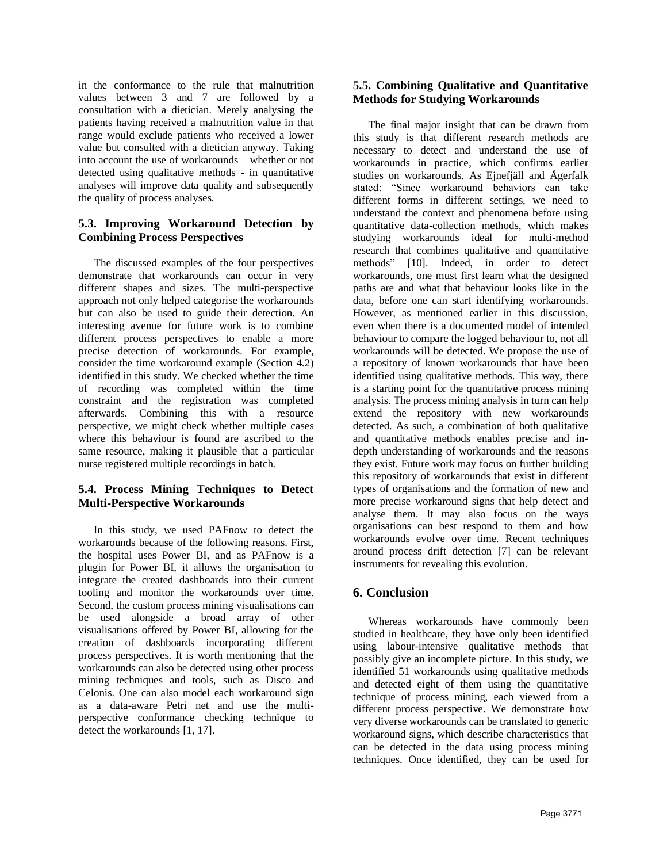in the conformance to the rule that malnutrition values between 3 and 7 are followed by a consultation with a dietician. Merely analysing the patients having received a malnutrition value in that range would exclude patients who received a lower value but consulted with a dietician anyway. Taking into account the use of workarounds – whether or not detected using qualitative methods - in quantitative analyses will improve data quality and subsequently the quality of process analyses.

# **5.3. Improving Workaround Detection by Combining Process Perspectives**

The discussed examples of the four perspectives demonstrate that workarounds can occur in very different shapes and sizes. The multi-perspective approach not only helped categorise the workarounds but can also be used to guide their detection. An interesting avenue for future work is to combine different process perspectives to enable a more precise detection of workarounds. For example, consider the time workaround example (Section 4.2) identified in this study. We checked whether the time of recording was completed within the time constraint and the registration was completed afterwards. Combining this with a resource perspective, we might check whether multiple cases where this behaviour is found are ascribed to the same resource, making it plausible that a particular nurse registered multiple recordings in batch.

# **5.4. Process Mining Techniques to Detect Multi-Perspective Workarounds**

In this study, we used PAFnow to detect the workarounds because of the following reasons. First, the hospital uses Power BI, and as PAFnow is a plugin for Power BI, it allows the organisation to integrate the created dashboards into their current tooling and monitor the workarounds over time. Second, the custom process mining visualisations can be used alongside a broad array of other visualisations offered by Power BI, allowing for the creation of dashboards incorporating different process perspectives. It is worth mentioning that the workarounds can also be detected using other process mining techniques and tools, such as Disco and Celonis. One can also model each workaround sign as a data-aware Petri net and use the multiperspective conformance checking technique to detect the workarounds [1, 17].

### **5.5. Combining Qualitative and Quantitative Methods for Studying Workarounds**

The final major insight that can be drawn from this study is that different research methods are necessary to detect and understand the use of workarounds in practice, which confirms earlier studies on workarounds. As Ejnefjäll and Ågerfalk stated: "Since workaround behaviors can take different forms in different settings, we need to understand the context and phenomena before using quantitative data-collection methods, which makes studying workarounds ideal for multi-method research that combines qualitative and quantitative methods" [10]. Indeed, in order to detect workarounds, one must first learn what the designed paths are and what that behaviour looks like in the data, before one can start identifying workarounds. However, as mentioned earlier in this discussion, even when there is a documented model of intended behaviour to compare the logged behaviour to, not all workarounds will be detected. We propose the use of a repository of known workarounds that have been identified using qualitative methods. This way, there is a starting point for the quantitative process mining analysis. The process mining analysis in turn can help extend the repository with new workarounds detected. As such, a combination of both qualitative and quantitative methods enables precise and indepth understanding of workarounds and the reasons they exist. Future work may focus on further building this repository of workarounds that exist in different types of organisations and the formation of new and more precise workaround signs that help detect and analyse them. It may also focus on the ways organisations can best respond to them and how workarounds evolve over time. Recent techniques around process drift detection [7] can be relevant instruments for revealing this evolution.

# **6. Conclusion**

Whereas workarounds have commonly been studied in healthcare, they have only been identified using labour-intensive qualitative methods that possibly give an incomplete picture. In this study, we identified 51 workarounds using qualitative methods and detected eight of them using the quantitative technique of process mining, each viewed from a different process perspective. We demonstrate how very diverse workarounds can be translated to generic workaround signs, which describe characteristics that can be detected in the data using process mining techniques. Once identified, they can be used for